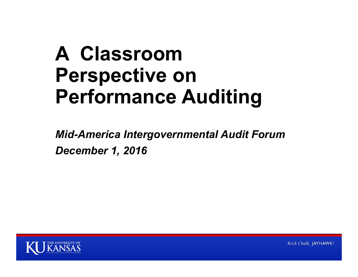## **A Classroom Perspective on Performance Auditing**

*Mid-America Intergovernmental Audit Forum December 1, 2016*



Rock Chalk, JAYHAWK!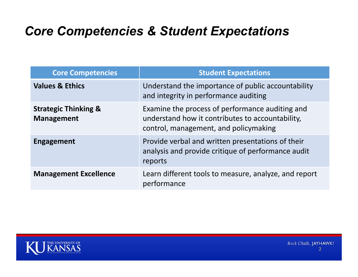## *Core Competencies & Student Expectations*

| <b>Core Competencies</b>                             | <b>Student Expectations</b>                                                                                                                  |
|------------------------------------------------------|----------------------------------------------------------------------------------------------------------------------------------------------|
| <b>Values &amp; Ethics</b>                           | Understand the importance of public accountability<br>and integrity in performance auditing                                                  |
| <b>Strategic Thinking &amp;</b><br><b>Management</b> | Examine the process of performance auditing and<br>understand how it contributes to accountability,<br>control, management, and policymaking |
| <b>Engagement</b>                                    | Provide verbal and written presentations of their<br>analysis and provide critique of performance audit<br>reports                           |
| <b>Management Excellence</b>                         | Learn different tools to measure, analyze, and report<br>performance                                                                         |

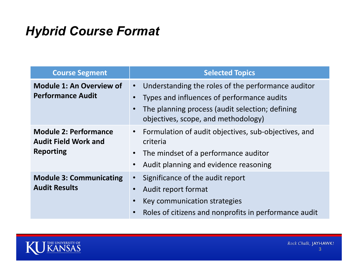## *Hybrid Course Format*

| <b>Course Segment</b>                                                           | <b>Selected Topics</b>                                                                                                                                                                                  |
|---------------------------------------------------------------------------------|---------------------------------------------------------------------------------------------------------------------------------------------------------------------------------------------------------|
| <b>Module 1: An Overview of</b><br><b>Performance Audit</b>                     | Understanding the roles of the performance auditor<br>$\bullet$<br>Types and influences of performance audits<br>The planning process (audit selection; defining<br>objectives, scope, and methodology) |
| <b>Module 2: Performance</b><br><b>Audit Field Work and</b><br><b>Reporting</b> | Formulation of audit objectives, sub-objectives, and<br>$\bullet$<br>criteria<br>The mindset of a performance auditor<br>$\bullet$<br>Audit planning and evidence reasoning                             |
| <b>Module 3: Communicating</b><br><b>Audit Results</b>                          | Significance of the audit report<br>Audit report format<br>Key communication strategies<br>Roles of citizens and nonprofits in performance audit<br>$\bullet$                                           |